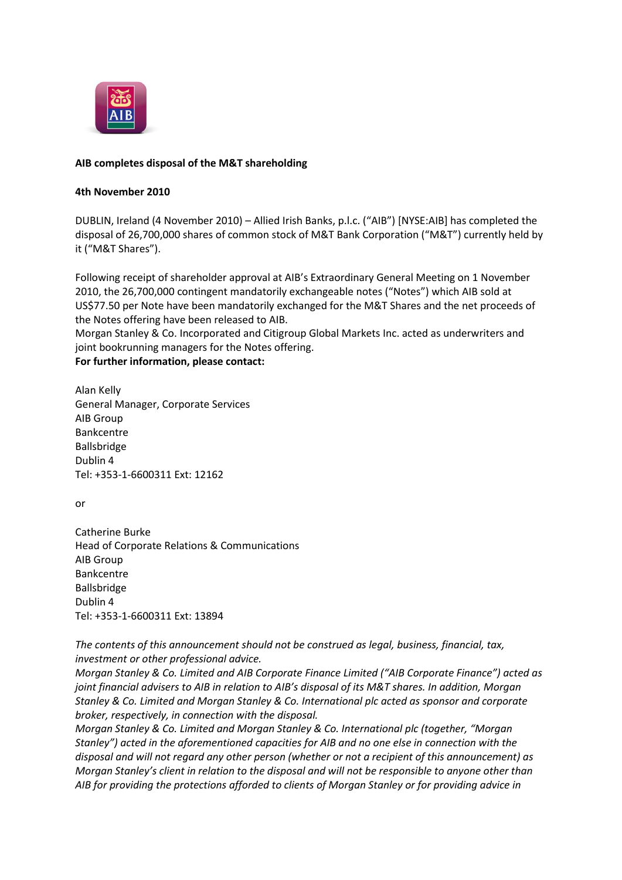

## **AIB completes disposal of the M&T shareholding**

## **4th November 2010**

DUBLIN, Ireland (4 November 2010) – Allied Irish Banks, p.l.c. ("AIB") [NYSE:AIB] has completed the disposal of 26,700,000 shares of common stock of M&T Bank Corporation ("M&T") currently held by it ("M&T Shares").

Following receipt of shareholder approval at AIB's Extraordinary General Meeting on 1 November 2010, the 26,700,000 contingent mandatorily exchangeable notes ("Notes") which AIB sold at US\$77.50 per Note have been mandatorily exchanged for the M&T Shares and the net proceeds of the Notes offering have been released to AIB.

Morgan Stanley & Co. Incorporated and Citigroup Global Markets Inc. acted as underwriters and joint bookrunning managers for the Notes offering.

## **For further information, please contact:**

Alan Kelly General Manager, Corporate Services AIB Group Bankcentre Ballsbridge Dublin 4 Tel: +353-1-6600311 Ext: 12162

or

Catherine Burke Head of Corporate Relations & Communications AIB Group Bankcentre Ballsbridge Dublin 4 Tel: +353-1-6600311 Ext: 13894

*The contents of this announcement should not be construed as legal, business, financial, tax, investment or other professional advice.*

*Morgan Stanley & Co. Limited and AIB Corporate Finance Limited ("AIB Corporate Finance") acted as joint financial advisers to AIB in relation to AIB's disposal of its M&T shares. In addition, Morgan Stanley & Co. Limited and Morgan Stanley & Co. International plc acted as sponsor and corporate broker, respectively, in connection with the disposal.*

*Morgan Stanley & Co. Limited and Morgan Stanley & Co. International plc (together, "Morgan Stanley") acted in the aforementioned capacities for AIB and no one else in connection with the disposal and will not regard any other person (whether or not a recipient of this announcement) as Morgan Stanley's client in relation to the disposal and will not be responsible to anyone other than AIB for providing the protections afforded to clients of Morgan Stanley or for providing advice in*